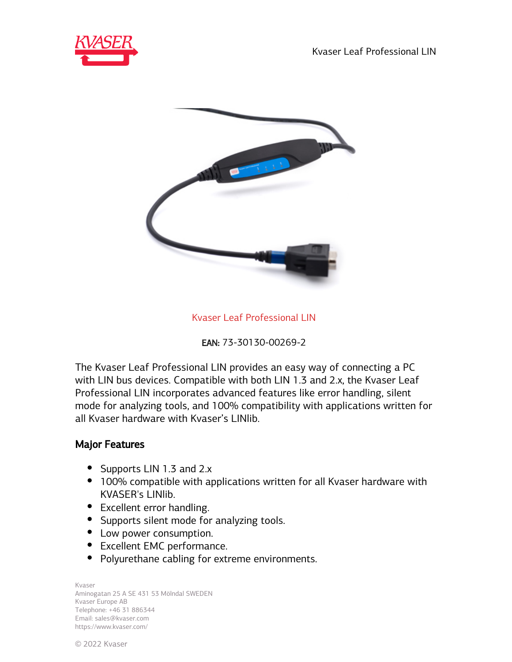Kvaser Leaf Professional LIN





Kvaser Leaf Professional LIN

EAN: 73-30130-00269-2

The Kvaser Leaf Professional LIN provides an easy way of connecting a PC with LIN bus devices. Compatible with both LIN 1.3 and 2.x, the Kvaser Leaf Professional LIN incorporates advanced features like error handling, silent mode for analyzing tools, and 100% compatibility with applications written for all Kvaser hardware with Kvaser's LINlib.

## Major Features

- Supports LIN 1.3 and 2.x
- 100% compatible with applications written for all Kvaser hardware with KVASER's LINlib.
- Excellent error handling.
- Supports silent mode for analyzing tools.
- Low power consumption.
- Excellent EMC performance.
- Polyurethane cabling for extreme environments.

Kvaser Aminogatan 25 A SE 431 53 Mölndal SWEDEN Kvaser Europe AB Telephone: +46 31 886344 Email: sales@kvaser.com https://www.kvaser.com/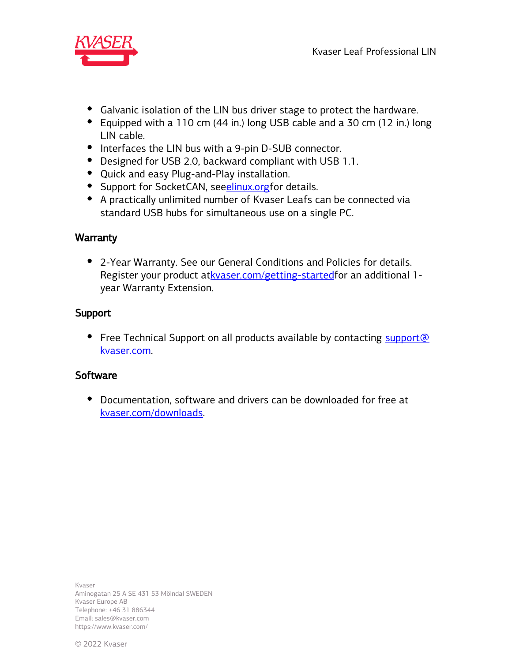

- Galvanic isolation of the LIN bus driver stage to protect the hardware.
- Equipped with a 110 cm (44 in.) long USB cable and a 30 cm (12 in.) long LIN cable.
- Interfaces the LIN bus with a 9-pin D-SUB connector.
- Designed for USB 2.0, backward compliant with USB 1.1.
- Quick and easy Plug-and-Play installation.
- Support for SocketCAN, seeelinux.org for details.
- A practically unlimited number of Kvaser Leafs can be connected via standard USB hubs for simultaneous use on a single PC.

## **Warranty**

2-Year Warranty. See our General Conditions and Policies for details. Register your product at [kvaser.com/getting-started f](https://www.kvaser.com/getting-started/)or an additional 1year Warranty Extension.

## Support

• Free Technical Support on all products available by contacting support@ kvaser.com.

## **Software**

Documentation, software and drivers can be downloaded for free at [kvaser.com/downloads.](https://www.kvaser.com/download/)

Kvaser Aminogatan 25 A SE 431 53 Mölndal SWEDEN Kvaser Europe AB Telephone: +46 31 886344 Email: sales@kvaser.com https://www.kvaser.com/

© 2022 Kvaser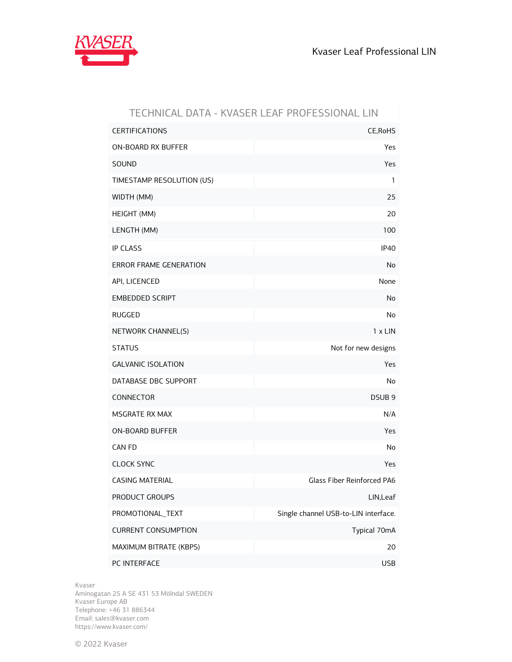

| TECHNICAL DATA - KVASER LEAF PROFESSIONAL LIN |                                      |
|-----------------------------------------------|--------------------------------------|
| <b>CERTIFICATIONS</b>                         | CE, RoHS                             |
| ON-BOARD RX BUFFER                            | Yes                                  |
| SOUND                                         | Yes                                  |
| TIMESTAMP RESOLUTION (US)                     | 1                                    |
| WIDTH (MM)                                    | 25                                   |
| HEIGHT (MM)                                   | 20                                   |
| LENGTH (MM)                                   | 100                                  |
| <b>IP CLASS</b>                               | IP <sub>40</sub>                     |
| ERROR FRAME GENERATION                        | No                                   |
| API, LICENCED                                 | None                                 |
| <b>EMBEDDED SCRIPT</b>                        | No                                   |
| <b>RUGGED</b>                                 | No                                   |
| NETWORK CHANNEL(S)                            | $1 \times$ LIN                       |
| <b>STATUS</b>                                 | Not for new designs                  |
| <b>GALVANIC ISOLATION</b>                     | Yes                                  |
| DATABASE DBC SUPPORT                          | No                                   |
| CONNECTOR                                     | DSUB <sub>9</sub>                    |
| MSGRATE RX MAX                                | N/A                                  |
| <b>ON-BOARD BUFFER</b>                        | Yes                                  |
| CAN FD                                        | No                                   |
| <b>CLOCK SYNC</b>                             | Yes                                  |
| <b>CASING MATERIAL</b>                        | <b>Glass Fiber Reinforced PA6</b>    |
| PRODUCT GROUPS                                | LIN, Leaf                            |
| PROMOTIONAL_TEXT                              | Single channel USB-to-LIN interface. |
| <b>CURRENT CONSUMPTION</b>                    | Typical 70mA                         |
| MAXIMUM BITRATE (KBPS)                        | 20                                   |
| PC INTERFACE                                  | <b>USB</b>                           |

Kvaser

Aminogatan 25 A SE 431 53 Mölndal SWEDEN Kvaser Europe AB Telephone: +46 31 886344 Email: sales@kvaser.com https://www.kvaser.com/